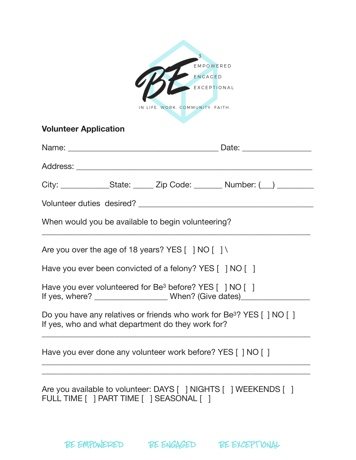|                                                                                                                                         |  | EMPOWERED                        |                                                                                  |  |
|-----------------------------------------------------------------------------------------------------------------------------------------|--|----------------------------------|----------------------------------------------------------------------------------|--|
|                                                                                                                                         |  | ENGAGED                          |                                                                                  |  |
|                                                                                                                                         |  |                                  |                                                                                  |  |
|                                                                                                                                         |  | IN LIFE. WORK. COMMUNITY. FAITH. |                                                                                  |  |
| <b>Volunteer Application</b>                                                                                                            |  |                                  |                                                                                  |  |
|                                                                                                                                         |  |                                  |                                                                                  |  |
|                                                                                                                                         |  |                                  |                                                                                  |  |
|                                                                                                                                         |  |                                  | City: _________________State: _______ Zip Code: ________ Number: (__) __________ |  |
|                                                                                                                                         |  |                                  |                                                                                  |  |
| When would you be available to begin volunteering?                                                                                      |  |                                  |                                                                                  |  |
| Are you over the age of 18 years? YES $[$ ] NO $[$ ] \                                                                                  |  |                                  |                                                                                  |  |
| Have you ever been convicted of a felony? YES [ ] NO [ ]                                                                                |  |                                  |                                                                                  |  |
| Have you ever volunteered for Be <sup>3</sup> before? YES [ ] NO [ ]                                                                    |  |                                  |                                                                                  |  |
| Do you have any relatives or friends who work for Be <sup>3</sup> ? YES [ ] NO [ ]<br>If yes, who and what department do they work for? |  |                                  |                                                                                  |  |
| Have you ever done any volunteer work before? YES [ ] NO [ ]                                                                            |  |                                  |                                                                                  |  |
| FULL TIME [ ] PART TIME [ ] SEASONAL [ ]                                                                                                |  |                                  | Are you available to volunteer: DAYS [ ] NIGHTS [ ] WEEKENDS [ ]                 |  |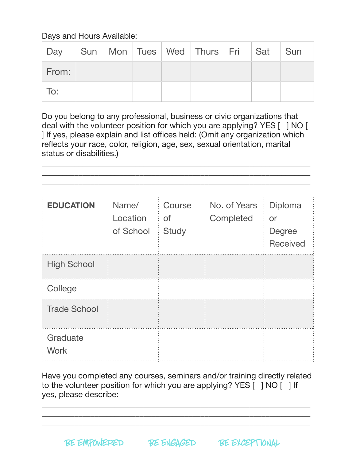Days and Hours Available:

| Day   |  |  | Sun   Mon   Tues   Wed   Thurs   Fri   Sat   Sun |  |  |
|-------|--|--|--------------------------------------------------|--|--|
| From: |  |  |                                                  |  |  |
| To:   |  |  |                                                  |  |  |

Do you belong to any professional, business or civic organizations that deal with the volunteer position for which you are applying? YES [ ] NO [ ] If yes, please explain and list offices held: (Omit any organization which reflects your race, color, religion, age, sex, sexual orientation, marital status or disabilities.)

\_\_\_\_\_\_\_\_\_\_\_\_\_\_\_\_\_\_\_\_\_\_\_\_\_\_\_\_\_\_\_\_\_\_\_\_\_\_\_\_\_\_\_\_\_\_\_\_\_\_\_\_\_\_\_\_\_\_\_\_\_\_\_\_\_\_

| <b>EDUCATION</b>        | Name/<br>Location<br>of School | Course<br><b>of</b><br><b>Study</b> | No. of Years<br>Completed | Diploma<br>or<br><b>Degree</b><br><b>Received</b> |
|-------------------------|--------------------------------|-------------------------------------|---------------------------|---------------------------------------------------|
| <b>High School</b>      |                                |                                     |                           |                                                   |
| College                 |                                |                                     |                           |                                                   |
| <b>Trade School</b>     |                                |                                     |                           |                                                   |
| Graduate<br><b>Work</b> |                                |                                     |                           |                                                   |

Have you completed any courses, seminars and/or training directly related to the volunteer position for which you are applying? YES [ ] NO [ ] If yes, please describe:

\_\_\_\_\_\_\_\_\_\_\_\_\_\_\_\_\_\_\_\_\_\_\_\_\_\_\_\_\_\_\_\_\_\_\_\_\_\_\_\_\_\_\_\_\_\_\_\_\_\_\_\_\_\_\_\_\_\_\_\_\_\_\_\_\_\_  $\overline{\phantom{a}}$  , and the contribution of the contribution of the contribution of the contribution of the contribution of the contribution of the contribution of the contribution of the contribution of the contribution of the \_\_\_\_\_\_\_\_\_\_\_\_\_\_\_\_\_\_\_\_\_\_\_\_\_\_\_\_\_\_\_\_\_\_\_\_\_\_\_\_\_\_\_\_\_\_\_\_\_\_\_\_\_\_\_\_\_\_\_\_\_\_\_\_\_\_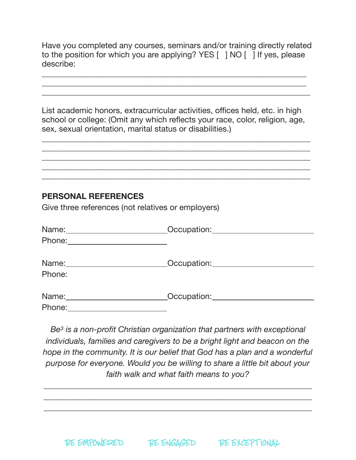Have you completed any courses, seminars and/or training directly related to the position for which you are applying? YES [ ] NO [ ] If yes, please describe:

\_\_\_\_\_\_\_\_\_\_\_\_\_\_\_\_\_\_\_\_\_\_\_\_\_\_\_\_\_\_\_\_\_\_\_\_\_\_\_\_\_\_\_\_\_\_\_\_\_\_\_\_\_\_\_\_\_\_\_\_\_\_\_\_\_ \_\_\_\_\_\_\_\_\_\_\_\_\_\_\_\_\_\_\_\_\_\_\_\_\_\_\_\_\_\_\_\_\_\_\_\_\_\_\_\_\_\_\_\_\_\_\_\_\_\_\_\_\_\_\_\_\_\_\_\_\_\_\_\_\_ \_\_\_\_\_\_\_\_\_\_\_\_\_\_\_\_\_\_\_\_\_\_\_\_\_\_\_\_\_\_\_\_\_\_\_\_\_\_\_\_\_\_\_\_\_\_\_\_\_\_\_\_\_\_\_\_\_\_\_\_\_\_\_\_\_\_

List academic honors, extracurricular activities, offices held, etc. in high school or college: (Omit any which reflects your race, color, religion, age, sex, sexual orientation, marital status or disabilities.)

\_\_\_\_\_\_\_\_\_\_\_\_\_\_\_\_\_\_\_\_\_\_\_\_\_\_\_\_\_\_\_\_\_\_\_\_\_\_\_\_\_\_\_\_\_\_\_\_\_\_\_\_\_\_\_\_\_\_\_\_\_\_\_\_\_\_ \_\_\_\_\_\_\_\_\_\_\_\_\_\_\_\_\_\_\_\_\_\_\_\_\_\_\_\_\_\_\_\_\_\_\_\_\_\_\_\_\_\_\_\_\_\_\_\_\_\_\_\_\_\_\_\_\_\_\_\_\_\_\_\_\_\_  $\overline{\phantom{a}}$  , and the contribution of the contribution of the contribution of the contribution of the contribution of the contribution of the contribution of the contribution of the contribution of the contribution of the \_\_\_\_\_\_\_\_\_\_\_\_\_\_\_\_\_\_\_\_\_\_\_\_\_\_\_\_\_\_\_\_\_\_\_\_\_\_\_\_\_\_\_\_\_\_\_\_\_\_\_\_\_\_\_\_\_\_\_\_\_\_\_\_\_\_ \_\_\_\_\_\_\_\_\_\_\_\_\_\_\_\_\_\_\_\_\_\_\_\_\_\_\_\_\_\_\_\_\_\_\_\_\_\_\_\_\_\_\_\_\_\_\_\_\_\_\_\_\_\_\_\_\_\_\_\_\_\_\_\_\_\_

## **PERSONAL REFERENCES**

Give three references (not relatives or employers)

| Name:_________________________ | Occupation: Designation of the state of the state of the state of the state of the state of the state of the state of the state of the state of the state of the state of the state of the state of the state of the state of |
|--------------------------------|-------------------------------------------------------------------------------------------------------------------------------------------------------------------------------------------------------------------------------|
|                                |                                                                                                                                                                                                                               |
|                                |                                                                                                                                                                                                                               |
|                                | _Occupation:________________________                                                                                                                                                                                          |
| Phone:                         |                                                                                                                                                                                                                               |
|                                | Occupation: <u>________________________</u>                                                                                                                                                                                   |
|                                |                                                                                                                                                                                                                               |
| Phone:                         |                                                                                                                                                                                                                               |

*Be3 is a non-profit Christian organization that partners with exceptional individuals, families and caregivers to be a bright light and beacon on the hope in the community. It is our belief that God has a plan and a wonderful purpose for everyone. Would you be willing to share a little bit about your faith walk and what faith means to you?* 

*\_\_\_\_\_\_\_\_\_\_\_\_\_\_\_\_\_\_\_\_\_\_\_\_\_\_\_\_\_\_\_\_\_\_\_\_\_\_\_\_\_\_\_\_\_\_\_\_\_\_\_\_\_\_\_\_\_\_\_\_\_\_\_\_\_\_ \_\_\_\_\_\_\_\_\_\_\_\_\_\_\_\_\_\_\_\_\_\_\_\_\_\_\_\_\_\_\_\_\_\_\_\_\_\_\_\_\_\_\_\_\_\_\_\_\_\_\_\_\_\_\_\_\_\_\_\_\_\_\_\_\_\_ \_\_\_\_\_\_\_\_\_\_\_\_\_\_\_\_\_\_\_\_\_\_\_\_\_\_\_\_\_\_\_\_\_\_\_\_\_\_\_\_\_\_\_\_\_\_\_\_\_\_\_\_\_\_\_\_\_\_\_\_\_\_\_\_\_\_*